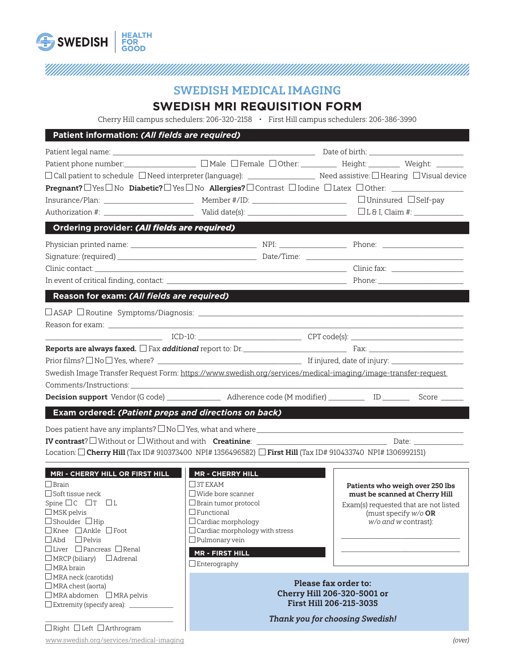

## <u>TIIMIN MINNIMIN MINNIMIN MINNIMIN MINNIMIN MINNIMIN MINNIMIN MINNIMIN MINNIMIN MINNIMIN MINNIMIN MINNIMIN MIN</u>

## SWEDISH MEDICAL IMAGING

### **SWEDISH MRI REQUISITION FORM**

Cherry Hill campus schedulers: 206-320-2158 • First Hill campus schedulers: 206-386-3990

| Patient information: (All fields are required)                                                               |                                                                                                                    |                                                                   |
|--------------------------------------------------------------------------------------------------------------|--------------------------------------------------------------------------------------------------------------------|-------------------------------------------------------------------|
|                                                                                                              |                                                                                                                    |                                                                   |
|                                                                                                              | Patient phone number: _______________________ [ Male [ Female [ Other: _________ Height: ________ Weight: _______  |                                                                   |
|                                                                                                              |                                                                                                                    |                                                                   |
|                                                                                                              | Pregnant? □ Yes □ No Diabetic? □ Yes □ No Allergies? □ Contrast □ Iodine □ Latex □ Other: ____________________     |                                                                   |
|                                                                                                              |                                                                                                                    |                                                                   |
|                                                                                                              |                                                                                                                    |                                                                   |
| Ordering provider: (All fields are required)                                                                 |                                                                                                                    |                                                                   |
|                                                                                                              |                                                                                                                    |                                                                   |
|                                                                                                              |                                                                                                                    |                                                                   |
|                                                                                                              |                                                                                                                    |                                                                   |
|                                                                                                              |                                                                                                                    |                                                                   |
| Reason for exam: (All fields are required)                                                                   |                                                                                                                    |                                                                   |
|                                                                                                              |                                                                                                                    |                                                                   |
|                                                                                                              |                                                                                                                    |                                                                   |
|                                                                                                              |                                                                                                                    |                                                                   |
|                                                                                                              |                                                                                                                    |                                                                   |
|                                                                                                              |                                                                                                                    |                                                                   |
|                                                                                                              |                                                                                                                    |                                                                   |
|                                                                                                              | Swedish Image Transfer Request Form: https://www.swedish.org/services/medical-imaging/image-transfer-request       |                                                                   |
|                                                                                                              |                                                                                                                    |                                                                   |
|                                                                                                              | Decision support Vendor (G code) ________________ Adherence code (M modifier) ___________ ID ________ Score ______ |                                                                   |
| Exam ordered: (Patient preps and directions on back)                                                         |                                                                                                                    |                                                                   |
|                                                                                                              |                                                                                                                    |                                                                   |
|                                                                                                              |                                                                                                                    |                                                                   |
| Location: □ Cherry Hill (Tax ID# 910373400 NPI# 1356496582) □ First Hill (Tax ID# 910433740 NPI# 1306992151) |                                                                                                                    |                                                                   |
| MRI - CHERRY HILL OR FIRST HILL                                                                              | <b>MR - CHERRY HILL</b>                                                                                            |                                                                   |
| $\Box$ Brain                                                                                                 | $\Box$ 3T EXAM                                                                                                     |                                                                   |
| $\Box$ Soft tissue neck                                                                                      | $\Box$ Wide bore scanner                                                                                           | Patients who weigh over 250 lbs<br>must be scanned at Cherry Hill |
|                                                                                                              | $\Box$ Brain tumor protocol                                                                                        | Exam(s) requested that are not listed                             |
| $\Box$ MSK pelvis                                                                                            | $\Box$ Functional                                                                                                  | (must specify $w/o$ OR                                            |
| $\Box$ Shoulder $\Box$ Hip                                                                                   | $\Box$ Cardiac morphology                                                                                          | w/o and w contrast):                                              |
| □Knee □Ankle □Foot                                                                                           | $\Box$ Cardiac morphology with stress                                                                              |                                                                   |
| $\Box$ Abd $\Box$ Pelvis                                                                                     | $\Box$ Pulmonary vein                                                                                              |                                                                   |
| $\Box$ Liver $\Box$ Pancreas $\Box$ Renal                                                                    | <b>MR - FIRST HILL</b>                                                                                             |                                                                   |
| $\Box$ MRCP (biliary)<br>$\Box$ Adrenal                                                                      | $\Box$ Enterography                                                                                                |                                                                   |
| $\Box$ MRA brain                                                                                             |                                                                                                                    |                                                                   |
| MRA neck (carotids)                                                                                          | Please fax order to:                                                                                               |                                                                   |
| □ MRA chest (aorta)<br>□ MRA abdomen □ MRA pelvis                                                            | Cherry Hill 206-320-5001 or<br>First Hill 206-215-3035<br><b>Thank you for choosing Swedish!</b>                   |                                                                   |
| □ Extremity (specify area): ______________                                                                   |                                                                                                                    |                                                                   |
|                                                                                                              |                                                                                                                    |                                                                   |
| □ Right □ Left □ Arthrogram                                                                                  |                                                                                                                    |                                                                   |
|                                                                                                              |                                                                                                                    |                                                                   |

www.swedish.org/services/medical-imaging (over)